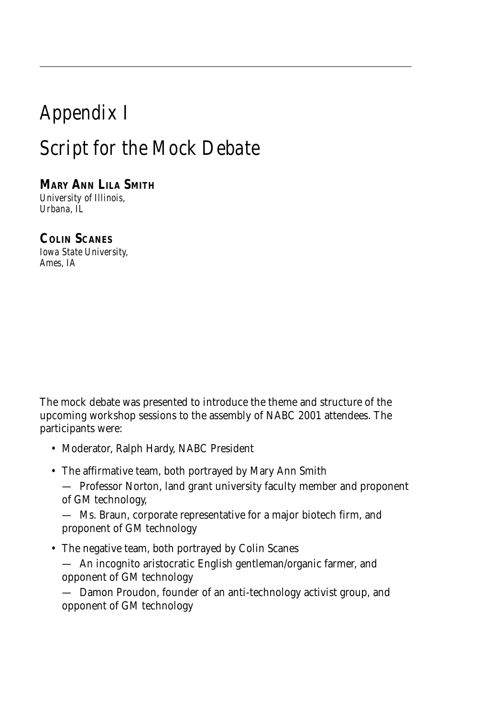## *Appendix I Script for the Mock Debate*

**MARY ANN LILA SMITH** *University of Illinois, Urbana, IL*

**COLIN SCANES** *Iowa State University, Ames, IA*

The mock debate was presented to introduce the theme and structure of the upcoming workshop sessions to the assembly of NABC 2001 attendees. The participants were:

- Moderator, Ralph Hardy, NABC President
- The affirmative team, both portrayed by Mary Ann Smith

— Professor Norton, land grant university faculty member and proponent of GM technology,

— Ms. Braun, corporate representative for a major biotech firm, and proponent of GM technology

• The negative team, both portrayed by Colin Scanes

— An incognito aristocratic English gentleman/organic farmer, and opponent of GM technology

— Damon Proudon, founder of an anti-technology activist group, and opponent of GM technology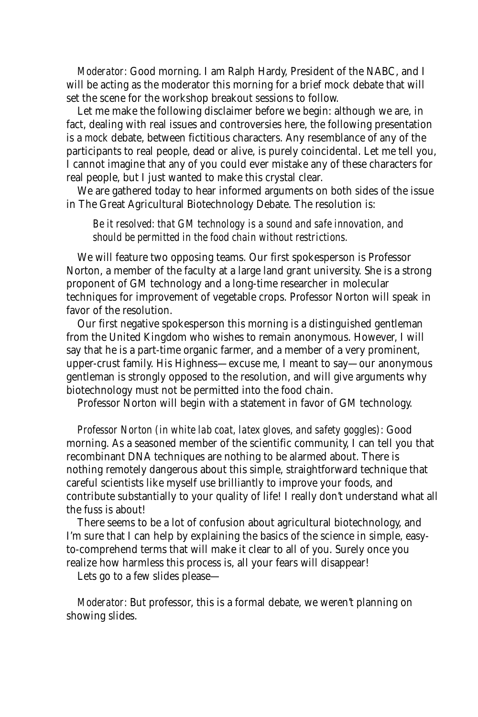*Moderator:* Good morning. I am Ralph Hardy, President of the NABC, and I will be acting as the moderator this morning for a brief mock debate that will set the scene for the workshop breakout sessions to follow.

Let me make the following disclaimer before we begin: although we are, in fact, dealing with real issues and controversies here, the following presentation is a *mock* debate, between fictitious characters. Any resemblance of any of the participants to real people, dead or alive, is purely coincidental. Let me tell you, I cannot imagine that any of you could ever mistake any of these characters for real people, but I just wanted to make this crystal clear.

We are gathered today to hear informed arguments on both sides of the issue in The Great Agricultural Biotechnology Debate. The resolution is:

*Be it resolved: that GM technology is a sound and safe innovation, and should be permitted in the food chain without restrictions.*

We will feature two opposing teams. Our first spokesperson is Professor Norton, a member of the faculty at a large land grant university. She is a strong proponent of GM technology and a long-time researcher in molecular techniques for improvement of vegetable crops. Professor Norton will speak in favor of the resolution.

Our first negative spokesperson this morning is a distinguished gentleman from the United Kingdom who wishes to remain anonymous. However, I will say that he is a part-time organic farmer, and a member of a very prominent, upper-crust family. His Highness—excuse me, I meant to say—our anonymous gentleman is strongly opposed to the resolution, and will give arguments why biotechnology must not be permitted into the food chain.

Professor Norton will begin with a statement in favor of GM technology.

*Professor Norton (in white lab coat, latex gloves, and safety goggles):* Good morning. As a seasoned member of the scientific community, I can tell you that recombinant DNA techniques are nothing to be alarmed about. There is nothing remotely dangerous about this simple, straightforward technique that careful scientists like myself use brilliantly to improve your foods, and contribute substantially to your quality of life! I really don't understand what all the fuss is about!

There seems to be a lot of confusion about agricultural biotechnology, and I'm sure that I can help by explaining the basics of the science in simple, easyto-comprehend terms that will make it clear to all of you. Surely once you realize how harmless this process is, all your fears will disappear!

Lets go to a few slides please—

*Moderator:* But professor, this is a formal debate, we weren't planning on showing slides.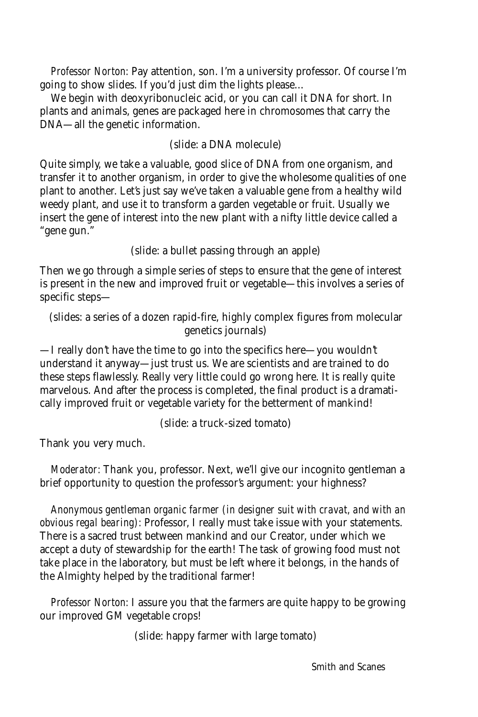*Professor Norton:* Pay attention, son. I'm a university professor. Of course I'm going to show slides. If you'd just dim the lights please…

We begin with deoxyribonucleic acid, or you can call it DNA for short. In plants and animals, genes are packaged here in chromosomes that carry the DNA—all the genetic information.

## (slide: a DNA molecule)

Quite simply, we take a valuable, good slice of DNA from one organism, and transfer it to another organism, in order to give the wholesome qualities of one plant to another. Let's just say we've taken a valuable gene from a healthy wild weedy plant, and use it to transform a garden vegetable or fruit. Usually we insert the gene of interest into the new plant with a nifty little device called a "gene gun."

(slide: a bullet passing through an apple)

Then we go through a simple series of steps to ensure that the gene of interest is present in the new and improved fruit or vegetable—this involves a series of specific steps—

(slides: a series of a dozen rapid-fire, highly complex figures from molecular genetics journals)

—I really don't have the time to go into the specifics here—you wouldn't understand it anyway—just trust us. We are scientists and are trained to do these steps flawlessly. Really very little could go wrong here. It is really quite marvelous. And after the process is completed, the final product is a dramatically improved fruit or vegetable variety for the betterment of mankind!

(slide: a truck-sized tomato)

Thank you very much.

*Moderator:* Thank you, professor. Next, we'll give our incognito gentleman a brief opportunity to question the professor's argument: your highness?

*Anonymous gentleman organic farmer (in designer suit with cravat, and with an obvious regal bearing):* Professor, I really must take issue with your statements. There is a sacred trust between mankind and our Creator, under which we accept a duty of stewardship for the earth! The task of growing food must not take place in the laboratory, but must be left where it belongs, in the hands of the Almighty helped by the traditional farmer!

*Professor Norton:* I assure you that the farmers are quite happy to be growing our improved GM vegetable crops!

(slide: happy farmer with large tomato)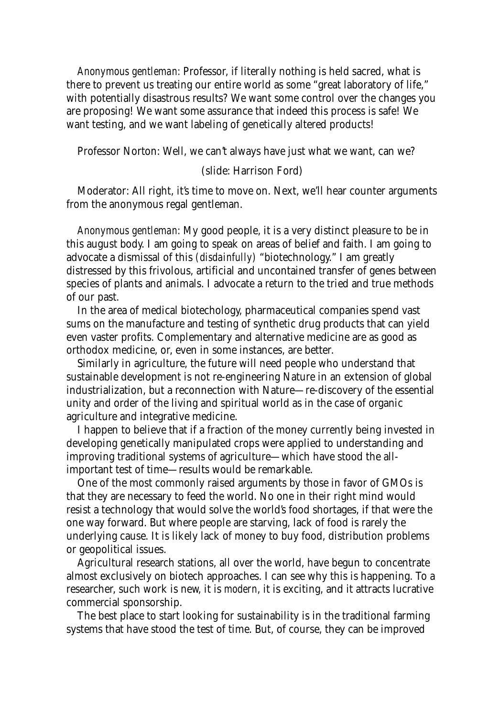*Anonymous gentleman:* Professor, if literally nothing is held sacred, what is there to prevent us treating our entire world as some "great laboratory of life," with potentially disastrous results? We want some control over the changes you are proposing! We want some assurance that indeed this process is safe! We want testing, and we want labeling of genetically altered products!

Professor Norton: Well, we can't always have just what we want, can we?

## (slide: Harrison Ford)

Moderator: All right, it's time to move on. Next, we'll hear counter arguments from the anonymous regal gentleman.

*Anonymous gentleman:* My good people, it is a very distinct pleasure to be in this august body. I am going to speak on areas of belief and faith. I am going to advocate a dismissal of this *(disdainfully)* "biotechnology." I am greatly distressed by this frivolous, artificial and uncontained transfer of genes between species of plants and animals. I advocate a return to the tried and true methods of our past.

In the area of medical biotechology, pharmaceutical companies spend vast sums on the manufacture and testing of synthetic drug products that can yield even vaster profits. Complementary and alternative medicine are as good as orthodox medicine, or, even in some instances, are better.

Similarly in agriculture, the future will need people who understand that sustainable development is not re-engineering Nature in an extension of global industrialization, but a reconnection with Nature—re-discovery of the essential unity and order of the living and spiritual world as in the case of organic agriculture and integrative medicine.

I happen to believe that if a fraction of the money currently being invested in developing genetically manipulated crops were applied to understanding and improving traditional systems of agriculture—which have stood the allimportant test of time—results would be remarkable.

One of the most commonly raised arguments by those in favor of GMOs is that they are necessary to feed the world. No one in their right mind would resist a technology that would solve the world's food shortages, if that were the one way forward. But where people are starving, lack of food is rarely the underlying cause. It is likely lack of money to buy food, distribution problems or geopolitical issues.

Agricultural research stations, all over the world, have begun to concentrate almost exclusively on biotech approaches. I can see why this is happening. To a researcher, such work is new, it is *modern*, it is exciting, and it attracts lucrative commercial sponsorship.

The best place to start looking for sustainability is in the traditional farming systems that have stood the test of time. But, of course, they can be improved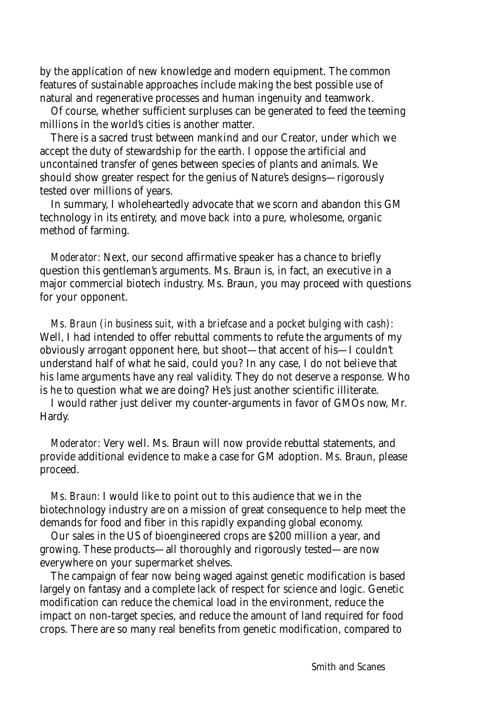by the application of new knowledge and modern equipment. The common features of sustainable approaches include making the best possible use of natural and regenerative processes and human ingenuity and teamwork.

Of course, whether sufficient surpluses can be generated to feed the teeming millions in the world's cities is another matter.

There is a sacred trust between mankind and our Creator, under which we accept the duty of stewardship for the earth. I oppose the artificial and uncontained transfer of genes between species of plants and animals. We should show greater respect for the genius of Nature's designs—rigorously tested over millions of years.

In summary, I wholeheartedly advocate that we scorn and abandon this GM technology in its entirety, and move back into a pure, wholesome, organic method of farming.

*Moderator:* Next, our second affirmative speaker has a chance to briefly question this gentleman's arguments. Ms. Braun is, in fact, an executive in a major commercial biotech industry. Ms. Braun, you may proceed with questions for your opponent.

*Ms. Braun (in business suit, with a briefcase and a pocket bulging with cash):* Well, I had intended to offer rebuttal comments to refute the arguments of my obviously arrogant opponent here, but shoot—that accent of his—I couldn't understand half of what he said, could you? In any case, I do not believe that his lame arguments have any real validity. They do not deserve a response. Who is he to question what we are doing? He's just another scientific illiterate.

I would rather just deliver my counter-arguments in favor of GMOs now, Mr. Hardy.

*Moderator:* Very well. Ms. Braun will now provide rebuttal statements, and provide additional evidence to make a case for GM adoption. Ms. Braun, please proceed.

*Ms. Braun:* I would like to point out to this audience that we in the biotechnology industry are on a mission of great consequence to help meet the demands for food and fiber in this rapidly expanding global economy.

Our sales in the US of bioengineered crops are \$200 million a year, and growing. These products—all thoroughly and rigorously tested—are now everywhere on your supermarket shelves.

The campaign of fear now being waged against genetic modification is based largely on fantasy and a complete lack of respect for science and logic. Genetic modification can reduce the chemical load in the environment, reduce the impact on non-target species, and reduce the amount of land required for food crops. There are so many real benefits from genetic modification, compared to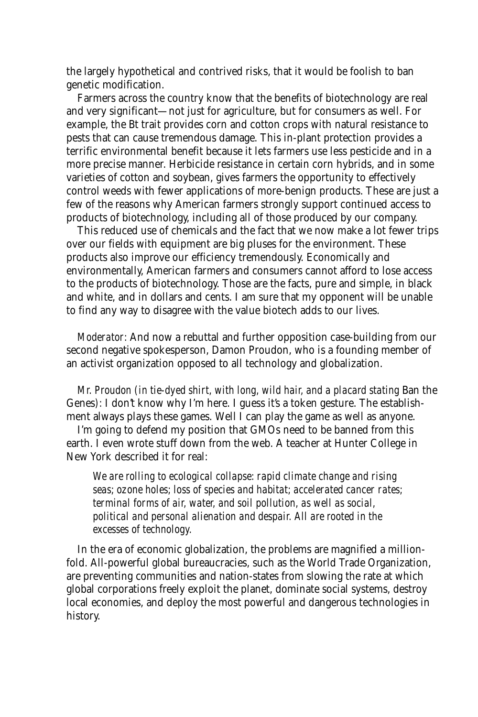the largely hypothetical and contrived risks, that it would be foolish to ban genetic modification.

Farmers across the country know that the benefits of biotechnology are real and very significant—not just for agriculture, but for consumers as well. For example, the Bt trait provides corn and cotton crops with natural resistance to pests that can cause tremendous damage. This in-plant protection provides a terrific environmental benefit because it lets farmers use less pesticide and in a more precise manner. Herbicide resistance in certain corn hybrids, and in some varieties of cotton and soybean, gives farmers the opportunity to effectively control weeds with fewer applications of more-benign products. These are just a few of the reasons why American farmers strongly support continued access to products of biotechnology, including all of those produced by our company.

This reduced use of chemicals and the fact that we now make a lot fewer trips over our fields with equipment are big pluses for the environment. These products also improve our efficiency tremendously. Economically and environmentally, American farmers and consumers cannot afford to lose access to the products of biotechnology. Those are the facts, pure and simple, in black and white, and in dollars and cents. I am sure that my opponent will be unable to find any way to disagree with the value biotech adds to our lives.

*Moderator:* And now a rebuttal and further opposition case-building from our second negative spokesperson, Damon Proudon, who is a founding member of an activist organization opposed to all technology and globalization.

*Mr. Proudon (in tie-dyed shirt, with long, wild hair, and a placard stating Ban the* Genes*):* I don't know why I'm here. I guess it's a token gesture. The establishment always plays these games. Well I can play the game as well as anyone.

I'm going to defend my position that GMOs need to be banned from this earth. I even wrote stuff down from the web. A teacher at Hunter College in New York described it for real:

*We are rolling to ecological collapse: rapid climate change and rising seas; ozone holes; loss of species and habitat; accelerated cancer rates; terminal forms of air, water, and soil pollution, as well as social, political and personal alienation and despair. All are rooted in the excesses of technology.*

In the era of economic globalization, the problems are magnified a millionfold. All-powerful global bureaucracies, such as the World Trade Organization, are preventing communities and nation-states from slowing the rate at which global corporations freely exploit the planet, dominate social systems, destroy local economies, and deploy the most powerful and dangerous technologies in history.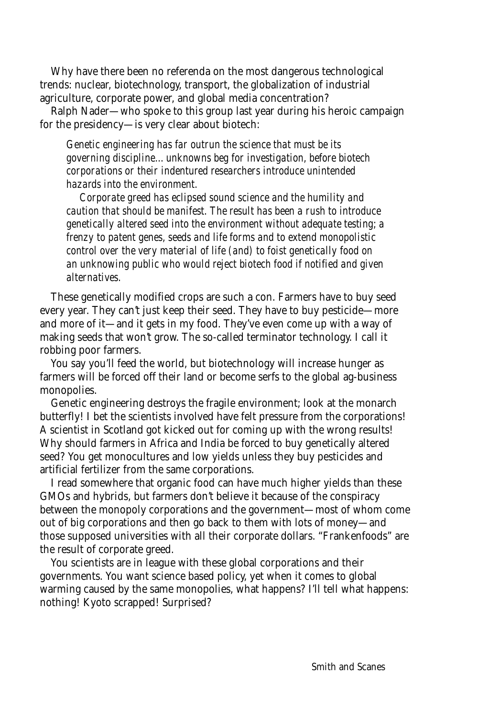Why have there been no referenda on the most dangerous technological trends: nuclear, biotechnology, transport, the globalization of industrial agriculture, corporate power, and global media concentration?

Ralph Nader—who spoke to this group last year during his heroic campaign for the presidency—is very clear about biotech:

*Genetic engineering has far outrun the science that must be its governing discipline…unknowns beg for investigation, before biotech corporations or their indentured researchers introduce unintended hazards into the environment.*

*Corporate greed has eclipsed sound science and the humility and caution that should be manifest. The result has been a rush to introduce genetically altered seed into the environment without adequate testing; a frenzy to patent genes, seeds and life forms and to extend monopolistic control over the very material of life (and) to foist genetically food on an unknowing public who would reject biotech food if notified and given alternatives.*

These genetically modified crops are such a con. Farmers have to buy seed every year. They can't just keep their seed. They have to buy pesticide—more and more of it—and it gets in my food. They've even come up with a way of making seeds that won't grow. The so-called terminator technology. I call it robbing poor farmers.

You say you'll feed the world, but biotechnology will increase hunger as farmers will be forced off their land or become serfs to the global ag-business monopolies.

Genetic engineering destroys the fragile environment; look at the monarch butterfly! I bet the scientists involved have felt pressure from the corporations! A scientist in Scotland got kicked out for coming up with the wrong results! Why should farmers in Africa and India be forced to buy genetically altered seed? You get monocultures and low yields unless they buy pesticides and artificial fertilizer from the same corporations.

I read somewhere that organic food can have much higher yields than these GMOs and hybrids, but farmers don't believe it because of the conspiracy between the monopoly corporations and the government—most of whom come out of big corporations and then go back to them with lots of money—and those supposed universities with all their corporate dollars. "Frankenfoods" are the result of corporate greed.

You scientists are in league with these global corporations and their governments. You want science based policy, yet when it comes to global warming caused by the same monopolies, what happens? I'll tell what happens: nothing! Kyoto scrapped! Surprised?